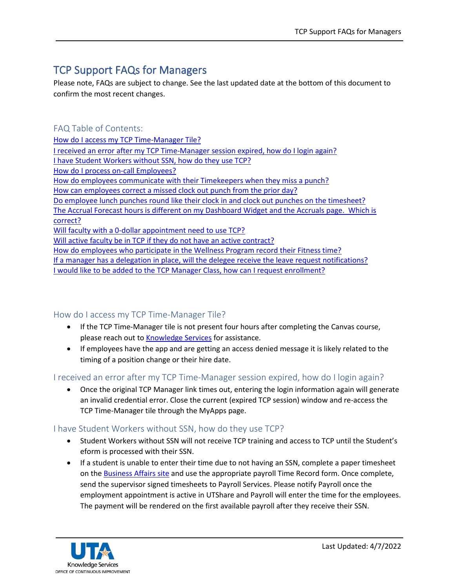# TCP Support FAQs for Managers

Please note, FAQs are subject to change. See the last updated date at the bottom of this document to confirm the most recent changes.

FAQ Table of Contents: [How do I access my TCP Time-Manager Tile?](#page-0-0) [I received an error after my TCP Time-Manager session expired, how do I login again?](#page-0-1)  [I have Student Workers without SSN, how do they use TCP?](#page-0-2) [How do I process on-call Employees?](#page-1-0) [How do employees communicate with their Timekeepers when they miss](#page-1-1) a punch? [How can employees correct a missed clock out punch from the prior day?](#page-1-2) [Do employee lunch punches round like their clock in and clock out punches on the timesheet?](#page-1-3) [The Accrual Forecast hours is different on my Dashboard Widget and the Accruals page. Which is](#page-2-0)  [correct?](#page-2-0) [Will faculty with a 0-dollar appointment need to use TCP?](#page-2-1) [Will active faculty be in TCP if they do not have an active contract?](#page-2-2) [How do employees who participate in the Wellness Program record their Fitness time?](#page-2-3) [If a manager has a delegation in place, will the delegee receive the leave request notifications?](#page-2-4) [I would like to be added to the TCP Manager Class, how can I request enrollment?](#page-2-5)

# <span id="page-0-0"></span>How do I access my TCP Time-Manager Tile?

- If the TCP Time-Manager tile is not present four hours after completing the Canvas course, please reach out t[o Knowledge Services](mailto:knowledgeservices@uta.edu) for assistance.
- If employees have the app and are getting an access denied message it is likely related to the timing of a position change or their hire date.

# <span id="page-0-1"></span>I received an error after my TCP Time-Manager session expired, how do I login again?

• Once the original TCP Manager link times out, entering the login information again will generate an invalid credential error. Close the current (expired TCP session) window and re-access the TCP Time-Manager tile through the MyApps page.

# <span id="page-0-2"></span>I have Student Workers without SSN, how do they use TCP?

- Student Workers without SSN will not receive TCP training and access to TCP until the Student's eform is processed with their SSN.
- If a student is unable to enter their time due to not having an SSN, complete a paper timesheet on th[e Business Affairs site](https://resources.uta.edu/business-affairs/forms/index.php) and use the appropriate payroll Time Record form. Once complete, send the supervisor signed timesheets to Payroll Services. Please notify Payroll once the employment appointment is active in UTShare and Payroll will enter the time for the employees. The payment will be rendered on the first available payroll after they receive their SSN.

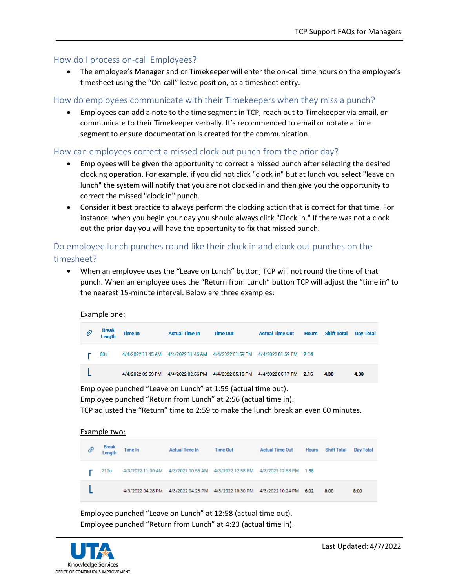## <span id="page-1-0"></span>How do I process on-call Employees?

• The employee's Manager and or Timekeeper will enter the on-call time hours on the employee's timesheet using the "On-call" leave position, as a timesheet entry.

## <span id="page-1-1"></span>How do employees communicate with their Timekeepers when they miss a punch?

• Employees can add a note to the time segment in TCP, reach out to Timekeeper via email, or communicate to their Timekeeper verbally. It's recommended to email or notate a time segment to ensure documentation is created for the communication.

## <span id="page-1-3"></span><span id="page-1-2"></span>How can employees correct a missed clock out punch from the prior day?

- Employees will be given the opportunity to correct a missed punch after selecting the desired clocking operation. For example, if you did not click "clock in" but at lunch you select "leave on lunch" the system will notify that you are not clocked in and then give you the opportunity to correct the missed "clock in" punch.
- Consider it best practice to always perform the clocking action that is correct for that time. For instance, when you begin your day you should always click "Clock In." If there was not a clock out the prior day you will have the opportunity to fix that missed punch.

# Do employee lunch punches round like their clock in and clock out punches on the timesheet?

• When an employee uses the "Leave on Lunch" button, TCP will not round the time of that punch. When an employee uses the "Return from Lunch" button TCP will adjust the "time in" to the nearest 15-minute interval. Below are three examples:

#### Example one:

| 0 | <b>Break</b><br>Length | <b>Time In</b> | <b>Actual Time In</b>                                                        | <b>Time Out</b> | <b>Actual Time Out</b> | <b>Hours</b> | <b>Shift Total</b> | <b>Dav Total</b> |
|---|------------------------|----------------|------------------------------------------------------------------------------|-----------------|------------------------|--------------|--------------------|------------------|
|   | 60u                    |                | 4/4/2022 11:45 AM 4/4/2022 11:46 AM 4/4/2022 01:59 PM 4/4/2022 01:59 PM 2:14 |                 |                        |              |                    |                  |
|   |                        |                | 4/4/2022 02:59 PM 4/4/2022 02:56 PM 4/4/2022 05:15 PM 4/4/2022 05:17 PM 2:16 |                 |                        |              | 4:30               | 4:30             |

Employee punched "Leave on Lunch" at 1:59 (actual time out).

Employee punched "Return from Lunch" at 2:56 (actual time in).

TCP adjusted the "Return" time to 2:59 to make the lunch break an even 60 minutes.

#### Example two:

| e | <b>Break</b><br>Length | <b>Time In</b>    | <b>Actual Time In</b>                                                   | <b>Time Out</b> | <b>Actual Time Out</b> | <b>Hours</b> | <b>Shift Total</b> | <b>Day Total</b> |
|---|------------------------|-------------------|-------------------------------------------------------------------------|-----------------|------------------------|--------------|--------------------|------------------|
|   | 210u                   |                   | 4/3/2022 11:00 AM 4/3/2022 10:55 AM 4/3/2022 12:58 PM 4/3/2022 12:58 PM |                 |                        | 1:58         |                    |                  |
|   |                        | 4/3/2022 04:28 PM | 4/3/2022 04:23 PM  4/3/2022 10:30 PM  4/3/2022 10:24 PM                 |                 |                        | 6:02         | 8:00               | 8:00             |

Employee punched "Leave on Lunch" at 12:58 (actual time out). Employee punched "Return from Lunch" at 4:23 (actual time in).